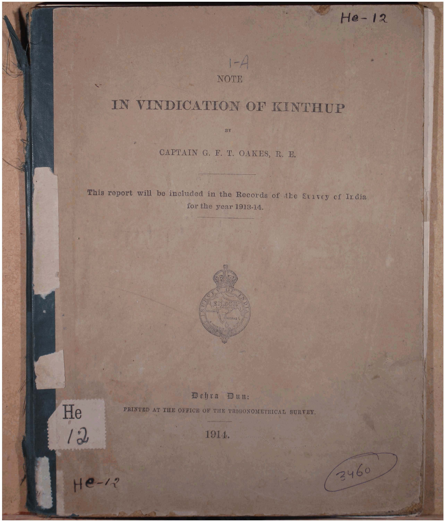# IN VINDICATION OF KINTHUP

NOTE

 $1-A$ 

 $He-12$ 

3460

CAPTAIN G. F. T. OAKES, R. E.

BY

This report will be included in the Records of the Sulvey of India for the year 1913-14.



Dehra Dun: PRINTED AT THE OFFICE OF THE TRIGONOMETRICAL SURVEY.

1914.

He /2

 $He-12$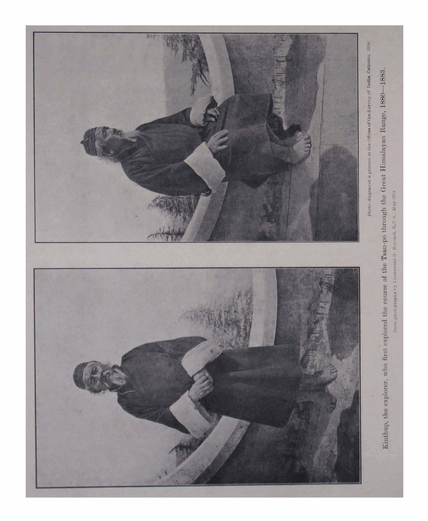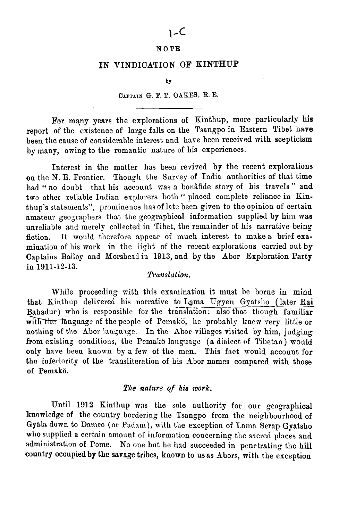## $1 - C$

## **NOTE**

## IN VINDICATION OF KINTHUP

**by** 

#### **CAITAIN G. I?. T. OAKES, R. E.**

For many years the explorations of Kinthup, more particularly his report of the existence of large falls on the Tsangpo in Eastern Tibet have been the cause of considerable interest and have been received with scepticism by many, owing to the romantic nature of his experiences.

Interest in the matter has been revived by the recent explorations on the N. E. Frontier. Though the Survey of India authorities of that time had " no doubt that his account was a bonafide story of his travels" and two other reliable Indian explorers both "placed complete reliance in Kinthup's statements", prominence has of late been given to the opinion of certain amateur geographers that the geographical information supplied by him was unreliable and merely collected in Tibet, the remainder of his narrative being fiction. It mould therefore appear of much interest to make a brief examination of his work in the light of the recent explorations carried out by Captaius Bailey and Norshead in 1913, and by the Abor Exploration Party in **1911-12-13.** 

## **Translation.**

While proceeding with this examination it must be borne in mind that Kinthup delivered his narrative to Lama Ugyen Gyatsho (later Rai Bahadur) who is responsible for the translation: also that though familiar with the language of the people of Pemakö, he probably knew very little or nothing of the Abor language. In the Abor villages visited by him, judging from existing conditions, the Pemakö language (a dialect of Tibetan) would only have been known by a few of the men. This fact would account for the inferiority of the transliteration of his Abor names compared with those of Pemako.

#### *The nature* **of** *his work.*

Until 1912 Kinthup was the sole authority for our geographical knowledge of the country bordering the Tsangpo from the neighbourhood of Gyala down to Damro (or Padam), with the exception of Lama Serap Gyatsho who supplied a certain amount of information concerning the sacred places and administration of Pome. No one but he had succeeded in penetrating the hill country occupied by the savage tribes, known to us as Abors, with the exception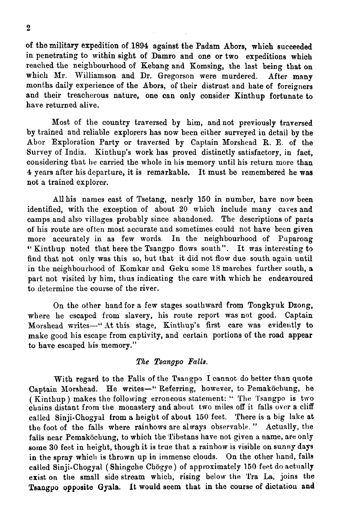of the military expedition of 1894 against the Padam Abors, which succeeded in penetrating to within sight of Damro and one or two expeditions which reached the neighbourhood of Kebang and Komsing, the last being that on which Mr. Williamson and Dr. Gregorson were murdered. After many months daily experience of the Abors, of their distrust and hate **of** foreigners and their treacherous nature, one can only consider Kinthup fortunate to have returned alive.

Most of the country traversed by him, andnot previously traversed by trained and reliable explorers has now been either surveyed in detail by **the**  Abor Exploration Party or traversed by Captain Morshead R. E. of the Survey of India. Kinthup's work has proved distinctly satisfactory, in fact, considering that he carried the whole in his memory until his return more than 4 years after his departure, it is remarkable. It must be remembered he **was**  not a trained explorer.

Allhis names east of Tsetang, nearly 150 in number, have now been identified, with the exception of about 20 which include many caves and camps and also villages probably since abandoned. The descriptions of parts of his route are often most accurate and sometimes could not have been given more accurately in as few words. In the neighbourhood of Puparong " Kinthup noted that here the Tsangpo flows south". It was interesting to find that not only mas this so, hut that it did not flow due south again until in the neighbourhood of Komkar and Geku some 18 marches further south, a part not visited by him, thus indicating the care with which he endeavoured to determine the course of the river.

On the other hand for a few stages southward from Tongkyuk Dzong, where he escaped from slavery, his route report was not good. Captain Morshead writes-"At this stage, Kintlup's first care was evidently to make good his escape from captivity, and certain portions of the road appear to have escaped his memory."

## *The Tsangpo Palle.*

With regard to the Falls of the Tsangpo I cannot do better than quote Captain Morshead. He writes-" Referring, however, to Pemaköchung, he ( Kinthup ) makes the following erroneous statement: " The Tsangpo is two chains distant from tbe monastery and about two miles off it falls over a cliff called Sinji-Chogyal from a height of about 160 feet. There is a big lake at the foot of the falls where rainbows are always observable." Actually, the fails near Pemaköchung, to which the Tibetans have not given a name, are only some 30 feet in height, though it is true that a rainbow is visible on sunny days in the spray which is thrown up in immense clouds. On the other hand, falls called Sinji-Chogyal (Shingche Chögye) of approximately 150 feet do actually exist on the small side stream which, rising below the 'I'ra La, joins the Tsangpo opposite Gyala. It would seem that in the course of dictation and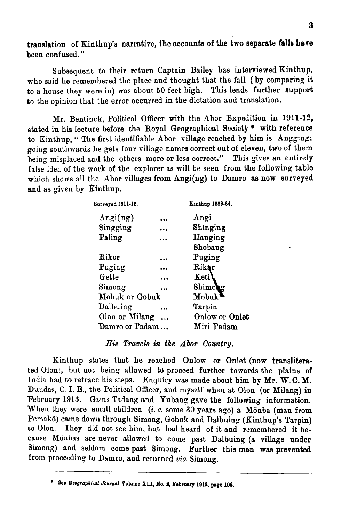translation of Kinthup's narrative, the accounts of **the** two aepsrste blla **hsrs**  been confused. "

Subsequent to their return Captain Bailey has interviewed Kinthup, who said he remembered the place and thought that the fall (by comparing it to a house they were in) was about 50 feet high. This lends further support to the opinion that the error occurred in the dictation and translation.

Mr. Bentinck, Political Officer with the Abor Expedition in 1911-12, stated in his lecture before the Royal Geographical Seciety  $*$  with reference to Kinthup, " The first identifiable Abor village reached by him is Angging; going soutllwards he gets four village names correct out of eleven, two of them being misplaced and the others more or less correct." This gives an entirely false idea of the work of the explorer as will be seen from the following table which shows all the Abor villages from Angi(ng) to Damro as now surveyed and as given by Xinthup.

| Surveyed 1911-12. |           | Kinthup 1883-84.   |
|-------------------|-----------|--------------------|
| Angi(ng)          |           | Angi               |
| Singging          | $\cdots$  | Shinging           |
| Paling            |           | Hanging            |
|                   |           | Shobang            |
| Rikor             | $\ddotsc$ | Puging             |
| Puging            |           | Rikar              |
| Gette             |           | Keti               |
| Simong            | .         | <b>Shimoog</b>     |
| Mobuk or Gobuk    |           | Mobuk <sup>*</sup> |
| Dalbuing          |           | Tarpin             |
| Olon or Milang    |           | Onlow or Onlet     |
| Damro or Padam    |           | Miri Padam         |
|                   |           |                    |

## **IIis** *Travels in the Abor Country.*

Kinthup states that he reached Onlow or Onlet (now transliterated Olon), but not being allowed to proceed further towards the plains of India had to retrace his steps. Enquiry was made about him by Mr. W.C.M. Dundas, **C.** I. E., tlie Political Officer, and myself when at Olon (or Milang) in February 1913. Gams Tadang and Yubang gave the following information. When they were small children (i. e. some 30 years ago) a Mönba (man from Pemakö) came dowu through Simong, Gobuk and Dalbuing (Kinthup's Tarpin) to Olon. They did not see him, but had heard of it and remembered it because Mönbas are never allowed to come past Dalbuing (a village under Simong) and seldom come past Simong. Further this man was prevented from proceeding to Damro, and returned *via* Simong.

**See Geographic41 Journal Volume XU, No,** *8,* **February 1918, pee 106.**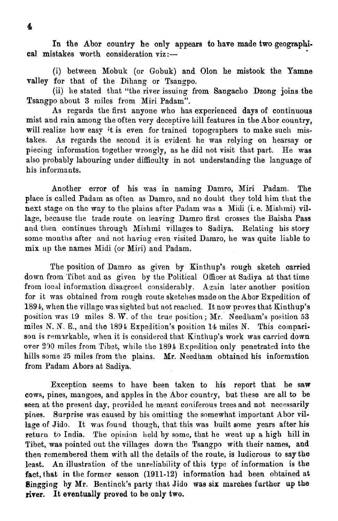In the Abor country he only appears to have made two geograpbical mistakes worth consideration  $\overline{viz}$ :-

(i) between Mobuk (or Gobuk) and Olon he mistook the Yamne valley for that of the Dihang or Tsangpo.

(ii) he stated that "the river issuing from Sangacho Dzong joins the Tsangpo about **3** miles from Miri Padam".

As regards the first anyone who has experienced days of continuous mist and rain among the often very deceptive hill features in the Abor country, will realize how easy it is even for trained topographers to make such mistakes. As regards the second it is evident he was relying on hearsay or piecing information together wrongly, as he did not visit that part. He was also probably labouring under difficulty in not understanding the language of his informants.

Another error of his was in naming Damro, Miri Padam. The place is called Padam as often as Damro, and no doubt they told him that the next stage on the way to the plains after Padam was a Midi (i.e. Mishmi) village, because the trade route on leaving Damro first crosses the Baisha Pass and then continues through Mishmi villages to Sadiya. Relating his story some months after and not having even visited Damro, he was quite liable to mix up the names Midi (or Miri) and Padam.

The position of Damro as given by Kinthup's rough sketch carried down from 'Pibet and as given by the Political Officer at Sadiya at that time from local information disagreed considerably. Again later another position for it was obtained from rough route sketches made on the Abor Expedition of 1894, when the village was sighted but not reached. It now proves that Kinthup's position was 19 miles S. W. of the true position; Mr. Needham's position 53 miles N. N. E., and the 1894 Expedition's position **14** miles N. This comparison is remzrkable, when it is considered that Kinthup's work was carried down over 300 miles from Tibet, while the 1894 Expedition only penetrated into the hills some **25** miles from the plains. Mr. Needham obtained his information from Padam Abors at Sadiya.

Exception seems to have been taken to his report that he saw cows, pines, mangoes, and apples in the Abor country, but these are all to be seen at the present day, provided he meant coniferous trees and not necessarily pines. Surprise was caused by his omitting the somewhat important Abor village of Jido. It was found though, that this was built some years after his return to India. The opinion held by some, that he went up a high hill in Tibet, was pointed out the villages down the Tsangpo with their names, and then remembered them with all the details of the route, is ludicrous to say the least. An illustration of the unreliability of this type of information is the fact, that in the former season (1911-12) information had been obtained **at Bingging** by Mr. Bentinck's party that Jido was six marches further up the **river.** It eventually proved to be only two.